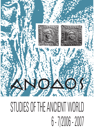

# STUDIES OF THE ANCIENT WORLD 6 - 7/2006 - 2007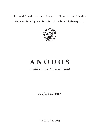Trnavská univerzita v Trnave Filozofická fakulta Universitas Tyrnaviensis Facultas Philosophica



# **A N O D O S**

# *Studies of the Ancient World*

**6-7/2006-2007**

**T R N A V A 2008**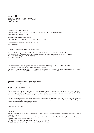# ANODOS **Studies of the Ancient World** 6-7/2006-2007

#### Redakčná rada/Editorial board:

Prof. PhDr. Mária Novotná, DrSc., Prof. Dr. Werner Jobst, doc. PhDr. Marie Dufková, CSc., doc. PhDr. Klára Kuzmová, CSc.

Výkonní redaktori/Executive editors: doc. PhDr. Klára Kuzmová, CSc., Mgr. Ivana Kvetánová, PhD.

Počítačové vyhotovenie/Computer elaboration: Zuzana Turzová

© Trnavská univerzita v Trnave. Filozofická fakulta

#### Kontaktná adresa (príspevky, ďalšie informácie)/Contact address (contributions, further information):

Katedra klasickej archeológie, Trnavská univerzita v Trnave, Hornopotočná 23, SK-918 43 Trnava<br>+421-33-5939371; fax: +421-33-5939370

Ξ klasarch@truni.sk

Publikované s finančnou podporou Ministerstva školstva SR (Projekty: MVTS - Tur/SR/TVU/08; KEGA č. 3/5105/07; VEGA č. 1/3749/06) a Pro Archaeologia Classica. Published with financial support of the Ministry of Education of the Slovak Republic (Projects: MVTS - Tur/SR/ TVU/08; KEGA No. 3/5105/07; VEGA No. 1/3749/06) and the Pro Archaeologia Classica.

#### Za znenie a obsah príspevkov zodpovedajú autori. The authors are responsible for their contributions.

#### Tlač/Printed by: GUPRESS, s.r.o., Bratislava

Žiadna časť tejto publikácie nesmie byť reprodukovaná alebo rozširovaná v žiadnej forme - elektronicky či mechanicky, vrátane fotokópií, nahrávania alebo iným použitím informačného systému vrátane webových stránok, bez predbežného písomného súhlasu vlastníka vydavateľských práv.

No part of this publication may be reproduced or transmitted in any form - electronic or mechanical, including photocopy, recording, or any information storage and retrieval system, including web pages, without the prior written permission from the copyright owner.

ISBN 978-80-8082-228-6

#### Obálka/Cover:

Motív "Zázračného dažďa" zo stĺpa Marka Aurélia v Ríme. V okienku: Zobrazenie Demeter a Persephone, skýtsky hrob, Bolšaja Bliznica, Ukrajina Motif of the "Miracle rain" from the column of Marcus Aurelius in Rome. In the Window: Depiction of Demeter and Persephone, Scythian grave, Bolšaja Bliznica, Ukraine Grafické spracovanie/Graphic elaboration: Mgr. Pavol Šima-Juríček Počítačové spracovanie/Computer elaboration: PhDr. Ivan Kuzma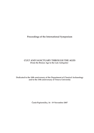Proceedings of the International Symposium

# **CULT AND SANCTUARY THROUGH THE AGES** (From the Bronze Age to the Late Antiquity)

Dedicated to the 10th anniversary of the Department of Classical Archaeology and to the 15th anniversary of Trnava University

Častá-Papiernička, 16 - 19 November 2007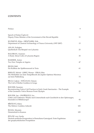# **CONTENTS**

| Preface                                                                                                                                                   | 9   |
|-----------------------------------------------------------------------------------------------------------------------------------------------------------|-----|
| Speech of Dušan Čaplovič:<br>Deputy Prime Minister of the Government of the Slovak Republic                                                               | 11  |
| KUZMOVÁ, Klára - HRNČIARIK, Erik:<br>Department of Classical Archaeology of Trnava University (1997-2007)                                                 | 13  |
| ASLAN, Erdoğan:<br>Quellenkult: Das Beispiel von Lykaonia                                                                                                 | 25  |
| BALDIRAN, Asuman:<br>A Study About Cults of Lykaonia Region                                                                                               | 35  |
| <b>BAMMER, Anton:</b><br>Two New Temples at Aigeira                                                                                                       | 47  |
| <b>BECKS</b> , Ralf:<br>Ein Kultbau der Spätbronzezeit in Troia                                                                                           | 61  |
| BERNÁT, Michal - JOBST, Werner - PIRAS, Rita:<br>Die Weihaltäre aus dem Tempelbezirk des Jupiter Optimus Maximus<br>auf dem Pfaffenberg                   | 73  |
| BILGI, Coşkun - DOĞANAY, Osman:<br>The Cult of Mother Goddess in Gerga                                                                                    | 81  |
| <b>BOCHER</b> , Susanne:<br>Reconstructing Votive Cult Practices in Early Greek Sanctuaries - The Example<br>of the Geometric Votive Bronzes From Olympia | 85  |
| BOUZEK, Jan - ONDŘEJOVÁ, Iva:<br>Götter und Göttinnen: Welche sind Unterschiede nach Geschlecht in den Opferungen,<br>besonders in Mitteleuropa?          | 93  |
| BŘEŇOVÁ, Klára:<br>The Hebrew Goddess Asherah                                                                                                             | 103 |
| BULBA, Mustafa:<br>Demeterkult in Kaunos                                                                                                                  | 109 |
| BÜLOW von, Gerda:<br>Deutsch-serbische Kooperation in Romuliana-Gamzigrad. Erste Ergebnisse<br>der geophysikalischen Prospektion                          | 115 |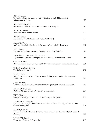| <b>CEVIK, Nevzat:</b><br>The Gods and Temples in: From the 2 <sup>nd</sup> Millenium to the 1 <sup>st</sup> Millenium B.C.<br>A Comparative Study | 123 |
|---------------------------------------------------------------------------------------------------------------------------------------------------|-----|
| DAŞBACAK, Coşkun:<br>Hecate Cult in Anatolia: Rituals and Dedications in Lagina                                                                   | 143 |
| DOYRAN, Münife:<br>Demeter Cult at Caunus: Kernoi                                                                                                 | 149 |
| DYCZEK, Piotr:<br>Lar populi sancte Medaure(CIL III, 2581=ILS 4881)                                                                               | 155 |
| ERAVŞAR, Osman:<br>An Essay of the Cult of St. George in the Anatolia During the Medieval Ages                                                    | 165 |
| EROL, Ayşe F.:<br>The Mother Goddess: Analyzing Her Feature as a City Protector                                                                   | 173 |
| FURMÁNEK, Václav - MITÁŠ, Vladimír:<br>Argonauten, Iason und Kenotaphe aus der Urnenfelderzeit in der Slowakei                                    | 187 |
| CHALUPA, Aleš:<br>How Did Roman Emperors Become Gods? Various Concepts of Imperial Apotheosis                                                     | 201 |
| IŞIK ASLAN, Emet Egemen<br>The Bull and Horn Cult                                                                                                 | 209 |
| JIRÁŇ, Luboš:<br>Die Reflexe der kultischen Sphäre in den archäologischen Quellen der Bronzezeit<br>in Böhmen                                     | 213 |
| JOBST, Werner:<br>Kult und Heiligtümer des römischen Iuppiter Optimus Maximus in Pannonien                                                        | 219 |
| KARAUĞUZ, Güngör:<br>On Open Air Cult Areas in Devrek and Environment                                                                             | 227 |
| KIZIL, Abuzer:<br>An Open Air Stepped Rock Altar at Kalem Köy in Milas, Karia                                                                     | 233 |
| KOÇEL ERDEM, Zeynep:<br>The Cult and the Mythological Scenes on Athenian Export Red Figure Vases During<br>the 4th Century B.C.                   | 241 |
| KUSTÁR, Rozália:<br>The Profane and/or the Sacred: the Interpretation of Seven Pits From Harta-Weierhivl,<br>Hungary                              | 253 |
| MINARČÁK, Pavol:<br>Elementary Types of Hellenistic Isis                                                                                          | 265 |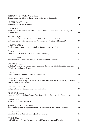| MINAROVIECH-RATIMORSKÁ, Jana:<br>The Architecture of Roman Sanctuaries in Hungarian Pannonia                                                                                | 275 |
|-----------------------------------------------------------------------------------------------------------------------------------------------------------------------------|-----|
| MÜLLER-KARPE, Hermann:<br>Zum Beginn des Christentums                                                                                                                       | 289 |
| NAGEL, Alexander:<br>Searching for the Gods at Ancient Akarnania: New Evidence From a Ritual Deposit<br><b>Near Stratos</b>                                                 | 293 |
| NOVÁKOVÁ, Lucia:<br>Decorative and Structural Techniques of Mud-Brick in Sacral Architecture<br>of Northeastern Syria (the End of the 3rd Millenium - the 2nd Millenium BC) | 303 |
| NOVOTNÁ, Mária:<br>Ein Tätowierungssatz aus einem Grab in Kapušany (Ostslowakei)                                                                                            | 313 |
| ÖZBEK, Çiğdem:<br>Cults on Imbros (Gökçeada) in the Classical Antiquity                                                                                                     | 325 |
| ÖZDILEK, Banu:<br>The Discoveries Made Concerning Cult Elements From Kelbessos                                                                                              | 331 |
| PAKKANEN, Petra:<br>Defining Cult Site. Theoretical Observations on the Nature of Religion at the Sanctuary<br>of Kalaureia on Poros, Greece                                | 343 |
| PAMIR, Hatice:<br>Isis and Sarapis Cult in Antioch-on-the-Orontes                                                                                                           | 355 |
| PIRAS, Rita - RASSU, Massimo:<br>Le culte de l'eau en Sardaigne à partir de l'âge du Bronze jusqu'au Christianisme Temples à puits,<br>sources sacrées et sanctuaire        | 369 |
| ROTHENHÖFER, Peter:<br>Indigene Kulte in städtischen Zentren Lusitaniens                                                                                                    | 381 |
| ROUSIOTI, Dimitra:<br>Aspects of Religion in Late Bronze Age Greece: Urban Shrines in the Peloponnese                                                                       | 389 |
| ŞAHIN, Derya:<br>The Cult of Nereids on Mosaics                                                                                                                             | 397 |
| ŞAHIN, Işık - GÜÇLÜ, Hüsniye:<br>Terracotta Figurines of Aphrodite From Turkish Thrace: The Cult of Aphrodite                                                               | 403 |
| SIMON, Erika:<br>Die römischen Lectisternien im 4. Jahrhundert v. Chr.                                                                                                      | 413 |
| SÖĞÜT, Bilal:<br>Naiskoi From the Sacred Precinct of Lagina Hekate: Augustus and Sarapis                                                                                    | 421 |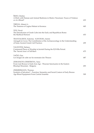| ŠEDO, Ondrej:<br>A Ditch with Human and Animal Skeletons in Mušov-Neurissen: Traces of Violence<br>or of a Ritual?                                                 | 433 |
|--------------------------------------------------------------------------------------------------------------------------------------------------------------------|-----|
| TIRPAN, Ahmet A.:<br>The Temenos of Lagína Hekate in Koranza                                                                                                       | 445 |
| TITZ, Pavel:<br>The Introduction of Greek Cults into the Early and Republican Rome:<br>the Mythical Horizon                                                        | 453 |
| TRANTALIDOU, Katerina - KAVOURA, Ismini<br>Astragali in Caves: The Contribution of the Archaeozoology in the Understanding<br>of Some Ancient Greek Cult Practices | 459 |
| VALENTINI, Stefano:<br>Communal Places of Worship in Jezirah During the EJ II-IIIa Period.<br>The 'Sacred Area' of Tell Barri                                      | 475 |
| YAĞIZ, Oya:<br>Les images de culte sur les monnaies des Thraces                                                                                                    | 487 |
| ZDRAVKOVA-DIMITROVA, Yana:<br>From Late Bronze to Early Iron Age - Thracian Sanctuaries in the Eastern<br>Rhodopi Mountain - Bulgaria                              | 493 |
| ZIMMERMANN, Thomas:<br>Symbols of Salvation? – Function, Semantics and Social Context of Early Bronze<br>Age Ritual Equipment From Central Anatolia                | 509 |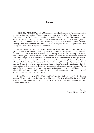### **Preface**

ANODOS 6-7/2006-2007 contains 53 articles in English, German and French presented at the international symposium "Cult and Sanctuary through the Ages. From the Bronze Age to the Late Antiquity" in Častá - Papiernička, Slovakia, on 16-19 November 2007. The symposium was organized on the occasion of the 10th anniversary of the Department of Classical Archaeology and of the 15th anniversary of Trnava University, under the auspices of Dušan Čaplovič, Deputy Prime Minister of the Government of the Slovak Republic for Knowledge-Based Society, European Affairs, Human Rights and Minorities.

At the same time it was the fourth event of this kind, which takes place every second year. The partner institutions from Turkey - Selçuk University in Konya and Uludağ University in Bursa – as well as the Slovak Archaeological Society at the Slovak Academy of Sciences, the Archaeological Museum of the Slovak National Museum and the voluntary association Pro Archaeologia Classica traditionally cooperated in the organization of the symposium. The participants were scholars from thirteen countries (Turkey, Greece, Bulgaria, Italy, Austria, Hungary, Poland, the Czech Republic, the Slovak Republic, Germany, Belgium, Great Britain and the USA). Graduate and post-graduate students from Trnava also participated in both organization and programme (lectures, presentations, discussions, poster sessions). At the end of the symposium there was arranged an excursion to the Archaeological Museum of the Slovak National Museum in Bratislava. Participants had opportunity to see permanent and contemporary exhibitions of the museum.

The publication of ANODOS 6-7/2006-2007 has been financially supported by The Faculty of Arts of Trnava University, the Ministry of Education of the Slovak Republic (Projects: MVTS - Tur/SR/TVU/08; KEGA No. 3/5105/07; VEGA No. 1/3749/06) and the voluntary association Pro Archaeologia Classica.

> Editors Trnava, 5 December 2008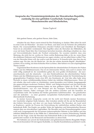## Ansprache des Vizeministerpräsidenten der Slowakischen Republik, zuständig für eine gebildete Gesellschaft, Europafragen, Menschenrechte und Minderheiten,

# Dušan Čaplovič

Sehr geehrte Damen, sehr geehrte Herren, liebe Gäste,

erlauben Sie mir, Ihnen zuerst einmal für Ihre Einladung zu danken. Bitte sehen Sie mich in erster Linie als Historiker - als einen von Ihnen, und dann erst als Vertreter der politischen Macht. Die wissenschaftliche Diskussion erfordert Freiheit und Gleichheit der Beteiligten. Sonst ist sie schrecklich verstümmelt. Dies begriffen schon die Herrscher des Mittelalters, die zwar mit fester Hand über ihre Untertanen herrschen konnten, allerdings erlaubten sie, dass auf Universitätsboden Inseln der Freiheit entstanden. Sie wussten nämlich, dass eine Meinung, die nicht frei ist, wertlos ist. Denn welche Bedeutung hätte es für sie, wenn ihnen die erhabenen Doktoren und Professoren nur sagen würden, was sie selbst hören wollen? Das, was der Herrscher hören will, das weiß er und das kennt er. Er braucht nicht, dass ihm das ein anderer sagt. Für den, der die Macht hat - für den der schöne deutsche Begriff "Machthaber" existiert, ist es wichtig, ein freies kritisches Wort zu hören. Aber kehren wir zum ursprünglichen Thema zurück!

Gegenstand Ihrer Konferenz ist die Spiritualität der altertümlichen Zivilisation des Nahen Ostens und des Mittelmeerraums. Das ist ein interessantes Thema, dass auch in unserer Zeit nicht völlig unaktuell ist. Im wesentlichen gehen die zwei großen Zivilisationen - die euroamerikanische und die islamische - von den Denktraditionen des altertümlichen Nahen Ostens und des Mittelmeerraums aus. Diese zwei Zivilisationen decken bei Vereinfachung der geographischen Projektion heute etwa 80% des Kontinents ab. Und dies alles hatte seine Wurzeln in einem verhältnismäßig kleinen Gebiet des östlichen Mittelmeerraums. Wenn ich mir erlaube, dies noch weiter zu vereinfachen, waren besonders zwei Gebiete Ausgangspunkt des gegenwärtigen modernen Denkens: Mittel- und Südgriechenland und das historische Palästina. Auch zusammengenommen hatten sie kein größeres Gebiet als 70 000 - 80 000 Quadratkilometer, was wir zum Beispiel mit der heutigen Tschechischen Republik vergleichen können. Dabei vertrugen sich die antiken Griechen und die Israeliten im wesentlichen nicht. Die Synthese der beiden getrennten Gelehrtenwelten - der griechischen und der jüdischen - zu einer gesamten europäischen Kulturtradition ist eigentlich eine überraschende Erscheinung.

In meiner kurzen Ansprache werde ich Sie nicht mit Details meiner Kenntnisse der Geschichte religiöser Kulte belasten. Aber trotzdem möchte ich Sie auf die Besonderheit des Gebiets hinweisen, auf dem wir uns heute befinden. Die Slowakei, als Land reich an Kupfererz, spielte im Prozess der Entwicklung der nahöstlichen antiken Kultur eine bedeutende Rolle. Das Kupfer aus großen Teilen der ägäischen und kleinasiatischen Bronzen stammt eben aus slowakischen Lagerstätten. Die Slowakei und das Donauebenengebiet waren wohl auch Ausgangspunkt der Invasionen indoeuropäischer Stämme in den Balkan und den östlichen Mittelmeerraum in der Hälfte des 2. Jahrtausends vor unserer Zeitrechnung. Deshalb kann auf die Frage, wann die Slowakei eine bedeutende Rolle in der Geschichte gespielt hat, geantwortet werden: in der Bronzezeit und besonders zu deren Ende.

Wir befinden uns unweit der bedeutenden und geheimnisumwitterten Burgstätte Molpir. Dies ist ein besonderer Ort mit eigener Kultstätte, wo ritueller Kannibalismus praktisiert wurde.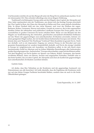Und besonders möchte ich auf den Burgwall unter der Burg Devín aufmerksam machen. Es ist ein interessanter Ort. Dies erfordert allerdings eine etwas längere Erklärung.

Traditionell wird behauptet, Europa stehe auf drei Hügeln: dem Capitol, der Akropolis und Zion. Jeder repräsentiert eine der Traditionen, aus denen sich das heutige Europa entwickelt hat. Das Capitol in Rom, der Glanz der Akropolis in Hellas und Zion, unser jüdisch-christliches Erbe. In dieser Dreiheit fehlt mir das vierte Element, und zwar der Einfluss der sogen. Barbaren: Kelten, Germanen, Slawen und andere. Gerade sie waren es, die in den sogenannten dunklen Zeiten der ethnischen und politischen Landkarte Europas ihre Form gaben, die im wesentlichen in groben Umrissen bis heute erhalten blieb. Wenn wir das Beispiel mit den Hügeln zur Symbolisierung des römischen, griechischen und jüdisch-christlichen Einflusses auf das Wesen der gegenwärtigen euro-amerikanischen Zivilisation anwenden, können wir einen geeigneten Hügel suchen, der ein Symbol dieses barbarischen Europas sein könnte. Was könnte dies sein? Kamelot? Die Wartburg? Vyšehrad? Mein Kandidat ist gerade Devín. Nicht nur deshalb, weil es ein imposanter Zugang zur unteren Donau in der Slowakei und zum gesamten Karpatenkessel ist, sondern hauptsächlich deshalb, weil Devín die einzige Lokalität in Europa ist, möglicherweise mit Ausnahme von Bratislava selbst, in der sich durch einen faszinierenden Zufall im Altertum und im frühen Mittelalter Besiedlungen aller bedeutenden großen Sprachgruppen des "barbarischen" Europas abwechselten, sogar mit den Römern selbst. Auf dem Burgberg von Devín finden wir Spuren von Dakern, Kelten, Germanen, den bereits erwähnten Römern, dann von Slawen, Awaren und ungarischen Nomaden. Deshalb wäre es das beste Symbol, das wir dem Capitol, der Akropolis und Zion als Symbol der gegenwärtigen euro-amerikanischen Zivilisation zuordnen können.

#### Geehrte Gäste,

ich denke, dass Ihre Teilnahme an der Konferenz und der gegenseitige Austausch von Erkenntnissen uns alle bereichert. Ich hoffe ebenfalls, dass die Ergebnisse der Konferenz nicht nur auf eine kleine Gruppe Fachleute beschränkt bleiben, sondern dass sie auch in die breite Öffentlichkeit gelangen.

Častá-Papiernička, 16. 11. 2007